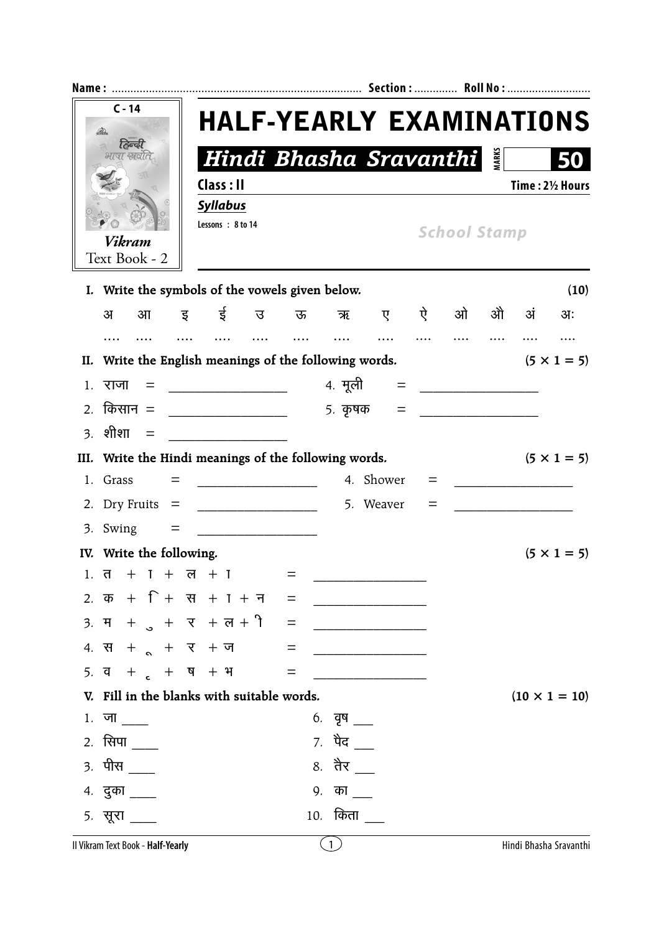| $C - 14$<br>हिल्वी<br>भाषा स्रवात |                                                                                    |                                                     |                                                              |          | <b>HALF-YEARLY EXAMINATIONS</b> |                   |     |                                         |    |    |                        |  |
|-----------------------------------|------------------------------------------------------------------------------------|-----------------------------------------------------|--------------------------------------------------------------|----------|---------------------------------|-------------------|-----|-----------------------------------------|----|----|------------------------|--|
|                                   |                                                                                    |                                                     |                                                              |          | Hindi Bhasha Sravanthi          |                   |     |                                         |    |    | 50                     |  |
|                                   |                                                                                    | Class: II                                           |                                                              |          |                                 |                   |     |                                         |    |    | Time: 21/2 Hours       |  |
|                                   |                                                                                    | <b>Syllabus</b>                                     |                                                              |          |                                 |                   |     |                                         |    |    |                        |  |
|                                   | Vikram                                                                             | Lessons: 8 to 14                                    |                                                              |          |                                 |                   |     | <b>School Stamp</b>                     |    |    |                        |  |
|                                   | Text Book - 2                                                                      |                                                     |                                                              |          |                                 |                   |     |                                         |    |    |                        |  |
|                                   | I. Write the symbols of the vowels given below.                                    |                                                     |                                                              |          |                                 |                   |     |                                         |    |    | (10)                   |  |
| 31                                | आ                                                                                  | इई उक्त                                             |                                                              |          | ऋ                               |                   | ए ऐ | ओ                                       | ओे | अं | अः                     |  |
|                                   |                                                                                    |                                                     |                                                              | $\cdots$ |                                 | $\ldots$          |     |                                         |    |    |                        |  |
|                                   | II. Write the English meanings of the following words.                             |                                                     |                                                              |          |                                 |                   |     |                                         |    |    | $(5 \times 1 = 5)$     |  |
| $1.$ राजा                         | $=$                                                                                | <u> 2001 - Johann John Stone, mars eta errestar</u> |                                                              |          | 4. मूली                         |                   |     |                                         |    |    |                        |  |
|                                   | 2. किसान $=$                                                                       |                                                     |                                                              |          | ५. कृषक                         | $\qquad \qquad =$ |     | <u> 1990 - Johann Barbara, martin a</u> |    |    |                        |  |
| $3.$ शीशा                         | $\equiv$                                                                           |                                                     |                                                              |          |                                 |                   |     |                                         |    |    |                        |  |
|                                   | III. Write the Hindi meanings of the following words.                              |                                                     |                                                              |          |                                 |                   |     |                                         |    |    | $(5 \times 1 = 5)$     |  |
| 1. Grass                          |                                                                                    | =                                                   |                                                              |          |                                 | 4. Shower         | $=$ |                                         |    |    |                        |  |
|                                   | 2. Dry Fruits $=$                                                                  |                                                     | <u> 2000 - Jan James James Barnett, amerikansk politik (</u> |          |                                 | 5. Weaver         | $=$ |                                         |    |    |                        |  |
|                                   | 3. Swing                                                                           | $=$                                                 | <u> 1980 - Jan James, president politik (</u>                |          |                                 |                   |     |                                         |    |    |                        |  |
|                                   | IV. Write the following.                                                           |                                                     |                                                              |          |                                 |                   |     |                                         |    |    | $(5 \times 1 = 5)$     |  |
|                                   | $1. \overline{d} + I + \overline{d} + I$                                           |                                                     |                                                              |          |                                 |                   |     |                                         |    |    |                        |  |
|                                   | 2. क + + + स + 1 + न =                                                             |                                                     |                                                              |          |                                 |                   |     |                                         |    |    |                        |  |
|                                   | 3. $H + 3 + 4 + 4 + 4 = 3$                                                         |                                                     |                                                              |          |                                 |                   |     |                                         |    |    |                        |  |
|                                   | $4. \ \nabla \cdot \cdot \cdot + \cdot + \cdot \nabla \cdot + \cdot \cdot \cdot =$ |                                                     |                                                              |          |                                 |                   |     |                                         |    |    |                        |  |
|                                   | 5. व + $\epsilon$ + ष + भ                                                          |                                                     |                                                              | $=$      |                                 |                   |     |                                         |    |    |                        |  |
|                                   | V. Fill in the blanks with suitable words.                                         |                                                     |                                                              |          |                                 |                   |     |                                         |    |    | $(10 \times 1 = 10)$   |  |
|                                   | 1. जा                                                                              |                                                     |                                                              |          | $6.$ वृष $\_\_$                 |                   |     |                                         |    |    |                        |  |
|                                   | 2. सिपा $\frac{1}{1}$                                                              |                                                     |                                                              |          | 7. पेद $\overline{\phantom{a}}$ |                   |     |                                         |    |    |                        |  |
|                                   | 3. पीस <u>पा</u>                                                                   |                                                     |                                                              |          |                                 |                   |     |                                         |    |    |                        |  |
|                                   | 4. दुका ____                                                                       |                                                     |                                                              |          | 9. क <u>ा</u>                   |                   |     |                                         |    |    |                        |  |
| 5. सूरा                           |                                                                                    |                                                     |                                                              |          | 10. किता                        |                   |     |                                         |    |    |                        |  |
|                                   | Il Vikram Text Book - Half-Yearly                                                  |                                                     |                                                              |          | $\left(1\right)$                |                   |     |                                         |    |    | Hindi Bhasha Sravanthi |  |